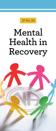IP No. 30

# Mental Health in Recovery

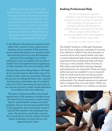*therapy, and other treatment options) may be outside issues, dealing with my mental health issues and recovery in this arena is as critical to my ability to stay clean and work a program of finding a power greater than me."*

In the Narcotics Anonymous program, every addict with a desire to stop using can be a member, and no member of NA need ever recover alone. Recovery is our common bond. Even though some of us may feel hopeless

because of the wreckage of our active addiction, we are not helpless. We are able to benefit from the experience and suggestions of other members who are recovering in NA.

Getting clean and working Steps in NA leads all of us to find ways to take better care of our minds, bodies, emotions, and spirits. Through the process of working the Steps with a sponsor and learning to take better care of ourselves, many of us find it necessary, at some point in our recovery process, to seek outside assistance for problems other than addiction.

This piece of literature reflects the shared experiences of NA members, including those who have found it necessary to seek outside help for mental health concerns and other members who are recovering alongside them. In this pamphlet, there are sections meant to help all NA members with challenges that arise—the decision to seek help, concerns about medications, and the stigma of mental health challenges, recovery, service, and supporting each other.

# **Seeking Professional Help**

*We do not diagnose anyone's condition or track the progress of our patients—in fact, we have no patients, only members. Our groups do not provide professional therapeutic, medical, legal, or psychiatric services. We are simply a fellowship of recovering addicts who meet regularly to help each other stay clean.* 

*It Works: How and Why,* "Tradition Eight"

The Eighth Tradition in NA aptly illustrates that our focus is sharing a message of recovery from addiction. Addicts who have thoughts or concerns about their mental health may want to seek professional help. Some members have experienced that professional help aids them in facing a crisis outside of their recovery in NA; others may find that long-term therapy and medications are warranted. There are many additional options available to us; we research what we think may be best and discuss them with our sponsors and appropriate healthcare professionals. Our shared experience is captured well in Chapter Four of *Living Clean:* "When we use the tools available to us—calling our sponsor

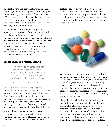and seeking the experience, strength, and hope of others, allowing our support group to support us, and turning to *In Times of Illness* and other NA literature—we are able to make decisions we can be comfortable with, and take action to do the next right thing." We are free to pursue our recovery from addiction in NA.

We engage in our recovery through honest sharing with a sponsor. Many of us have found that shame and secrecy in any area of our lives opens a window for relapse. We need to be honest and truthful about our mental health—along with any medications that we take in our recovery. Working closely with our sponsor and other trusted NA members can help us to remain aware of our motives. Each of us is responsible for our own recovery and well-being.

# **Medication and Mental Health**

*It is possible to find freedom from active addiction in NA and to be taking medication prescribed by an informed healthcare professional for a mental illness.* 

*In Times of Illness,* "Mental Health Issues"

In NA, our primary purpose is to carry a message of recovery—this is true no matter what extenuating situations may present themselves. Attempting to address mental health challenges goes beyond the scope of carrying our message or helping other addicts to stay clean. In meetings, no one is a professional; we are all addicts seeking freedom from active addiction.

We may be advised at some point in our recovery to take medications to treat our mental health condition. Medications are to be taken as prescribed by an informed healthcare

professional; we do not self-medicate. Many of us have found it wise to inform our sponsors and a few friends in our support network that we are taking medication. This action helps us to be accountable and allows others we trust to be our "eyes and ears."



With medication, it is important to be mindful and aware of changes that may occur. The longer we are clean, the more our physical and emotional selves change; sometimes, these changes may have an effect on our mental health condition. Honestly sharing any perceived changes with our sponsors, informed healthcare professionals, and supportive friends is a critical step in maintaining a program of recovery.

Many of us have heard, either individually or in meetings, that members taking medication are not clean. However, some mental health medications are prescribed to help manage symptoms that interfere with leading a healthy, productive, drug-free lifestyle. Members who take mental health medication as prescribed by a healthcare professional are considered clean.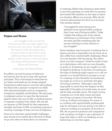

## **Stigma and Shame**

*. . . our struggles with our mental illnesses and the way they impact our recovery are very much "inside issues." We need to make this distinction to ensure that we don't fail to seek additional help either because of stigma in the rooms or confusion about the relationship between mental illness and recovery.* 

*Living Clean*, "Our Physical Selves"

As addicts, we may be prone to behaviors and actions that are not in line with spiritual principles. This could simply be described as our hearts and heads are not always aligned. Sometimes it takes years in recovery and working the Steps with a sponsor to improve our skills with spiritual principles such as compassion, acceptance, empathy, and kindness. We may jump to judgment and act in ways that discriminate against others who are not like us, finding reasons to separate ourselves from others. We can ask our sponsor or NA friends for their experience, strength, and hope. In NA, our primary purpose is carrying a message of hope, not one of judgment.

Some of us who have mental health challenges may choose to be careful about the level of detail we go into when we share about our situation

in meetings. Rather than sharing in great detail in recovery meetings, we work with our sponsor and trusted NA members on the ways in which our situation affects our recovery. After all, the common denominator for all of us is recovery. One member shared:

"I struggled for years being more ashamed of my mental health condition than I ever was of being an addict. Today I realize that taking care of my mental well-being is a critical part of my overall recovery, and like everything else, the process of doing so is the solution to my struggles."

Some members may be prone to isolating due to shame, and this is especially true for those of us who suffer from mental health challenges. Many of us are familiar with the saying, "An addict alone is in bad company." Isolation tends to lead us to dark places, with only our own thoughts to guide us. Sometimes we are caught in a web of negative thinking. In the best circumstances, this type of thinking might inspire us to call our sponsor or a trusted friend or prompt us to go to a meeting. In less desirable circumstances, we might go so far as to entertain thoughts of hurting ourselves. Although it may feel impossible to move from the despair we feel, especially if thoughts of suicide arise, we must ask for help and take action. We need to bring ourselves out of the dark corner and back into living a program of recovery. We have to let go of shame and stigma. For some of us, working with mental health professionals may be necessary if we are going to be able to continue working our program of recovery in NA. As we practice patience and compassion with ourselves, we begin to see a glimmer of hope that helps to shift our thinking; we are embracing our recovery again.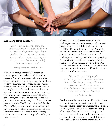

## **Recovery Happens in NA**

*Everything we do, everything that matters to us as a Fellowship, comes back to our simple message of hope and freedom. . . . No one is too sick or too well, too rich or too poor, too far gone or too far away to qualify. It is available to us all.* 

*Guiding Principles,* "Tradition Five"

All addicts are welcome in NA meetings, and everyone is free to hear NA's lifesaving message. We gain a sense of belonging when we identify with others in meetings. Being clean, we strive to live in the solution and to practice spiritual principles in all our affairs. This is not accomplished by desire alone; we work with a sponsor, work the Steps, and share our recovery with others. Regardless of our mental health challenges, we are encouraged to practice the principles of recovery in ways that honor our own personal beliefs. The Eleventh Step in *It Works: How and Why* reminds us of "our absolute and unconditional freedom to believe in any Higher Power we choose." Recovery works for every addict who wants to stop using and is willing to make the effort.

Those of us who suffer from mental health challenges may want to deny our condition and may run the risk of self-deception about our condition. Denial will not serve us. We owe it to ourselves to face our fears with courage and perseverance. One addict with mental health challenges summed up their situation by saying, "If I don't work on both—recovery and mental health—I won't be successful with either." Our work on self-acceptance is crucial not just for our recovery, but also for our mental health. We learn to face life on its own terms.

*Service is . . . our unique gift something that no one can take away from us. We give, and we get. Through service, many of us start on the sometimes long road back to becoming productive members of society.* 

*Just for Today*, May 1

Service is a collective action working with others, whether in a group or service committee. We need to reflect honestly on whether we are a good fit for any service position we are considering. This may go beyond whether we simply meet the qualifications for our service positions; we are ready to objectively assess our abilities and limitations with our sponsor or with another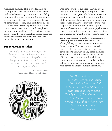recovering member. This is true for all of us, but might be especially important if our mental health challenges may interfere with our ability to serve well in a particular position. Sometimes, we may find that group-level service is the best fit; other times, we may have confidence due to our life experience that a position on a service committee will work well for us. Through selfawareness and working the Steps with a sponsor and a Higher Power, we can find a place in service to give back regardless of our situation with mental health and medication.

## **Supporting Each Other**

*We make the choice to be a positive force in the lives of the people around us. The process of working the steps has given us the ability to love and accept who we are, and become able to truly love others.* 

> *In Times of Illness*, "Supporting Members with Illness"



One of the ways we support others in NA is through sponsorship. Sponsoring others is a demonstration of gratitude. Whenever we are asked to sponsor a member, we are mindful of the privilege of sponsorship. In sponsoring those whose challenges may differ from ours, we practice unconditional love to support members' recovery and bridge the gap between isolation and unity, which is all-encompassing. We embrace any member who wants to recover.

We all benefit from empathy, compassionate listening, and support in the Fellowship. Through love, we learn to accept ourselves for who we are. Those of us with mental health challenges appreciate support from other addicts as much as any other member. Supporting each other is unity in action. In NA, we strive to make sure that all have an equal opportunity to recover. Individually and collectively, we can be a beacon of hope and help others find freedom from addiction.

*motivates both the individual and the Fellowship, we are fully Text,* Narcotics Anonymous, *cut from the same cloth, but our symbol tells us that we have room "for all manifestations*